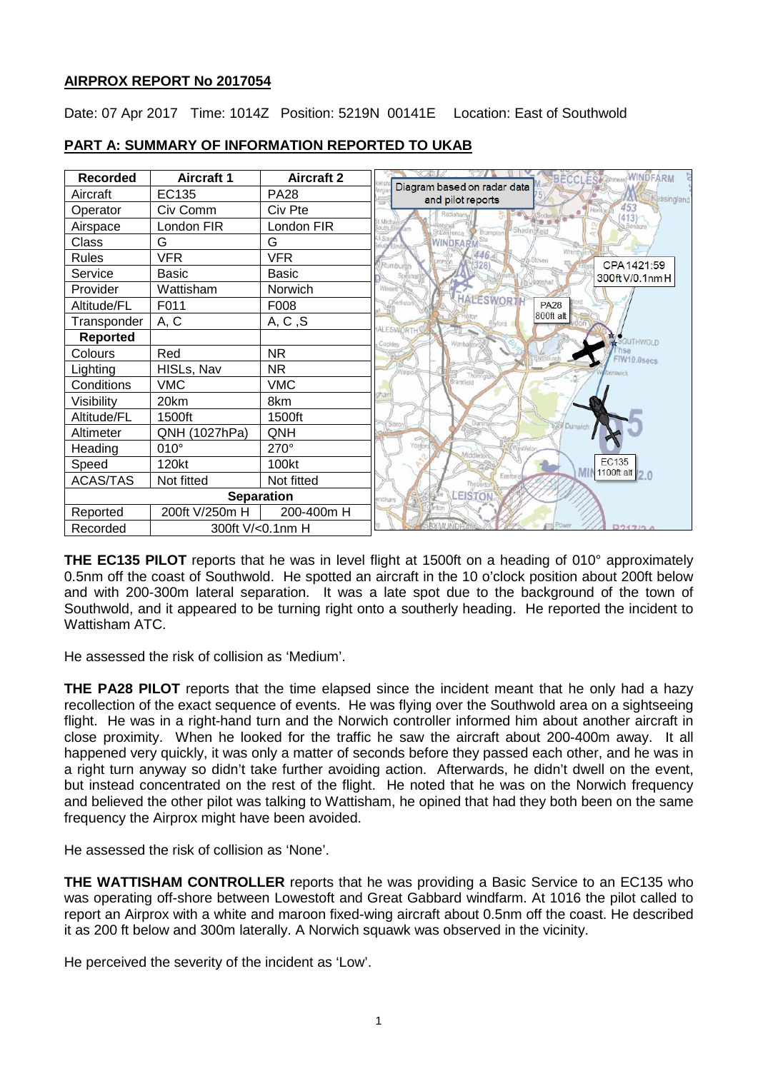## **AIRPROX REPORT No 2017054**

Date: 07 Apr 2017 Time: 1014Z Position: 5219N 00141E Location: East of Southwold



# **PART A: SUMMARY OF INFORMATION REPORTED TO UKAB**

**THE EC135 PILOT** reports that he was in level flight at 1500ft on a heading of 010° approximately 0.5nm off the coast of Southwold. He spotted an aircraft in the 10 o'clock position about 200ft below and with 200-300m lateral separation. It was a late spot due to the background of the town of Southwold, and it appeared to be turning right onto a southerly heading. He reported the incident to Wattisham ATC.

He assessed the risk of collision as 'Medium'.

**THE PA28 PILOT** reports that the time elapsed since the incident meant that he only had a hazy recollection of the exact sequence of events. He was flying over the Southwold area on a sightseeing flight. He was in a right-hand turn and the Norwich controller informed him about another aircraft in close proximity. When he looked for the traffic he saw the aircraft about 200-400m away. It all happened very quickly, it was only a matter of seconds before they passed each other, and he was in a right turn anyway so didn't take further avoiding action. Afterwards, he didn't dwell on the event, but instead concentrated on the rest of the flight. He noted that he was on the Norwich frequency and believed the other pilot was talking to Wattisham, he opined that had they both been on the same frequency the Airprox might have been avoided.

He assessed the risk of collision as 'None'.

**THE WATTISHAM CONTROLLER** reports that he was providing a Basic Service to an EC135 who was operating off-shore between Lowestoft and Great Gabbard windfarm. At 1016 the pilot called to report an Airprox with a white and maroon fixed-wing aircraft about 0.5nm off the coast. He described it as 200 ft below and 300m laterally. A Norwich squawk was observed in the vicinity.

He perceived the severity of the incident as 'Low'.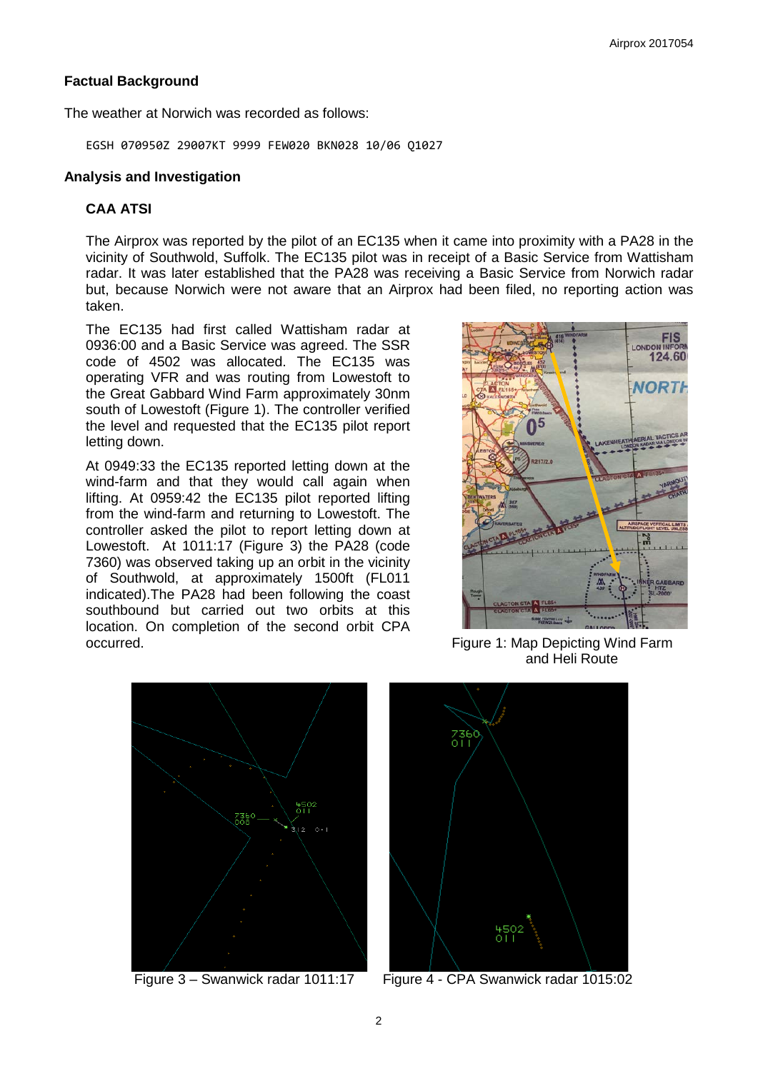### **Factual Background**

The weather at Norwich was recorded as follows:

EGSH 070950Z 29007KT 9999 FEW020 BKN028 10/06 Q1027

#### **Analysis and Investigation**

### **CAA ATSI**

The Airprox was reported by the pilot of an EC135 when it came into proximity with a PA28 in the vicinity of Southwold, Suffolk. The EC135 pilot was in receipt of a Basic Service from Wattisham radar. It was later established that the PA28 was receiving a Basic Service from Norwich radar but, because Norwich were not aware that an Airprox had been filed, no reporting action was taken.

The EC135 had first called Wattisham radar at 0936:00 and a Basic Service was agreed. The SSR code of 4502 was allocated. The EC135 was operating VFR and was routing from Lowestoft to the Great Gabbard Wind Farm approximately 30nm south of Lowestoft (Figure 1). The controller verified the level and requested that the EC135 pilot report letting down.

At 0949:33 the EC135 reported letting down at the wind-farm and that they would call again when lifting. At 0959:42 the EC135 pilot reported lifting from the wind-farm and returning to Lowestoft. The controller asked the pilot to report letting down at Lowestoft. At 1011:17 (Figure 3) the PA28 (code 7360) was observed taking up an orbit in the vicinity of Southwold, at approximately 1500ft (FL011 indicated).The PA28 had been following the coast southbound but carried out two orbits at this location. On completion of the second orbit CPA occurred. Figure 1: Map Depicting Wind Farm



and Heli Route





Figure 3 – Swanwick radar 1011:17 Figure 4 - CPA Swanwick radar 1015:02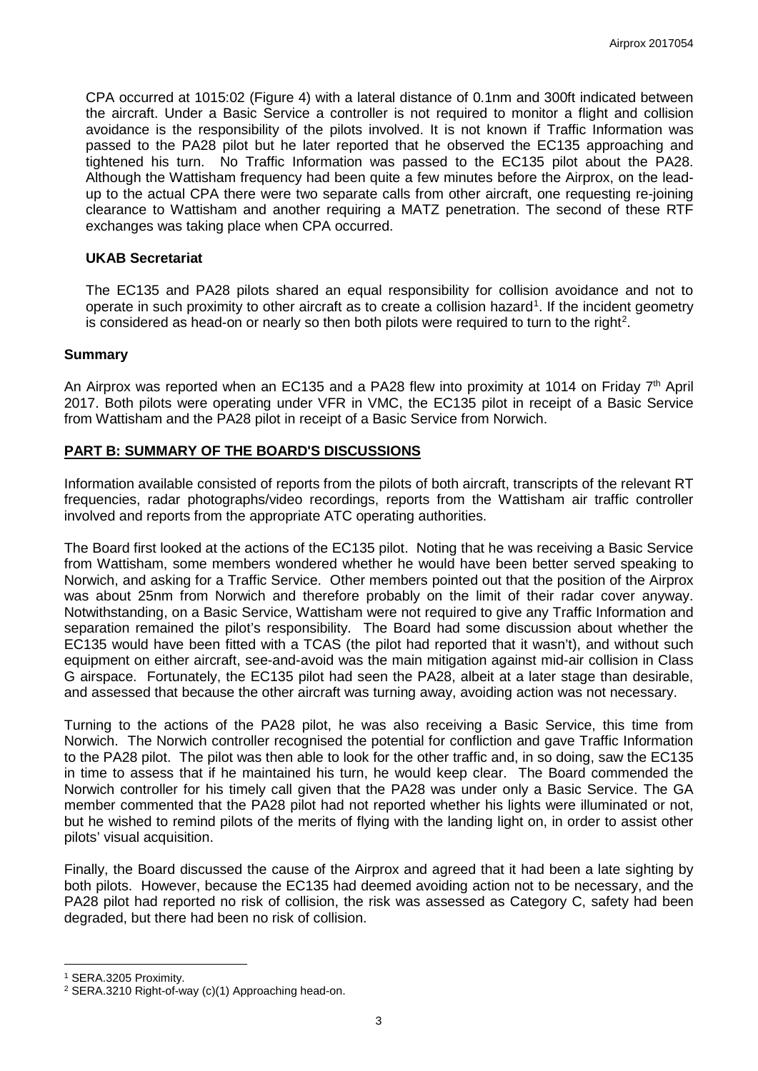CPA occurred at 1015:02 (Figure 4) with a lateral distance of 0.1nm and 300ft indicated between the aircraft. Under a Basic Service a controller is not required to monitor a flight and collision avoidance is the responsibility of the pilots involved. It is not known if Traffic Information was passed to the PA28 pilot but he later reported that he observed the EC135 approaching and tightened his turn. No Traffic Information was passed to the EC135 pilot about the PA28. Although the Wattisham frequency had been quite a few minutes before the Airprox, on the leadup to the actual CPA there were two separate calls from other aircraft, one requesting re-joining clearance to Wattisham and another requiring a MATZ penetration. The second of these RTF exchanges was taking place when CPA occurred.

#### **UKAB Secretariat**

The EC135 and PA28 pilots shared an equal responsibility for collision avoidance and not to operate in such proximity to other aircraft as to create a collision hazard<sup>[1](#page-2-0)</sup>. If the incident geometry is considered as head-on or nearly so then both pilots were required to turn to the right<sup>[2](#page-2-1)</sup>.

#### **Summary**

An Airprox was reported when an EC135 and a PA28 flew into proximity at 1014 on Friday  $7<sup>th</sup>$  April 2017. Both pilots were operating under VFR in VMC, the EC135 pilot in receipt of a Basic Service from Wattisham and the PA28 pilot in receipt of a Basic Service from Norwich.

## **PART B: SUMMARY OF THE BOARD'S DISCUSSIONS**

Information available consisted of reports from the pilots of both aircraft, transcripts of the relevant RT frequencies, radar photographs/video recordings, reports from the Wattisham air traffic controller involved and reports from the appropriate ATC operating authorities.

The Board first looked at the actions of the EC135 pilot. Noting that he was receiving a Basic Service from Wattisham, some members wondered whether he would have been better served speaking to Norwich, and asking for a Traffic Service. Other members pointed out that the position of the Airprox was about 25nm from Norwich and therefore probably on the limit of their radar cover anyway. Notwithstanding, on a Basic Service, Wattisham were not required to give any Traffic Information and separation remained the pilot's responsibility. The Board had some discussion about whether the EC135 would have been fitted with a TCAS (the pilot had reported that it wasn't), and without such equipment on either aircraft, see-and-avoid was the main mitigation against mid-air collision in Class G airspace. Fortunately, the EC135 pilot had seen the PA28, albeit at a later stage than desirable, and assessed that because the other aircraft was turning away, avoiding action was not necessary.

Turning to the actions of the PA28 pilot, he was also receiving a Basic Service, this time from Norwich. The Norwich controller recognised the potential for confliction and gave Traffic Information to the PA28 pilot. The pilot was then able to look for the other traffic and, in so doing, saw the EC135 in time to assess that if he maintained his turn, he would keep clear. The Board commended the Norwich controller for his timely call given that the PA28 was under only a Basic Service. The GA member commented that the PA28 pilot had not reported whether his lights were illuminated or not, but he wished to remind pilots of the merits of flying with the landing light on, in order to assist other pilots' visual acquisition.

Finally, the Board discussed the cause of the Airprox and agreed that it had been a late sighting by both pilots. However, because the EC135 had deemed avoiding action not to be necessary, and the PA28 pilot had reported no risk of collision, the risk was assessed as Category C, safety had been degraded, but there had been no risk of collision.

l

<span id="page-2-0"></span><sup>1</sup> SERA.3205 Proximity.

<span id="page-2-1"></span><sup>2</sup> SERA.3210 Right-of-way (c)(1) Approaching head-on.